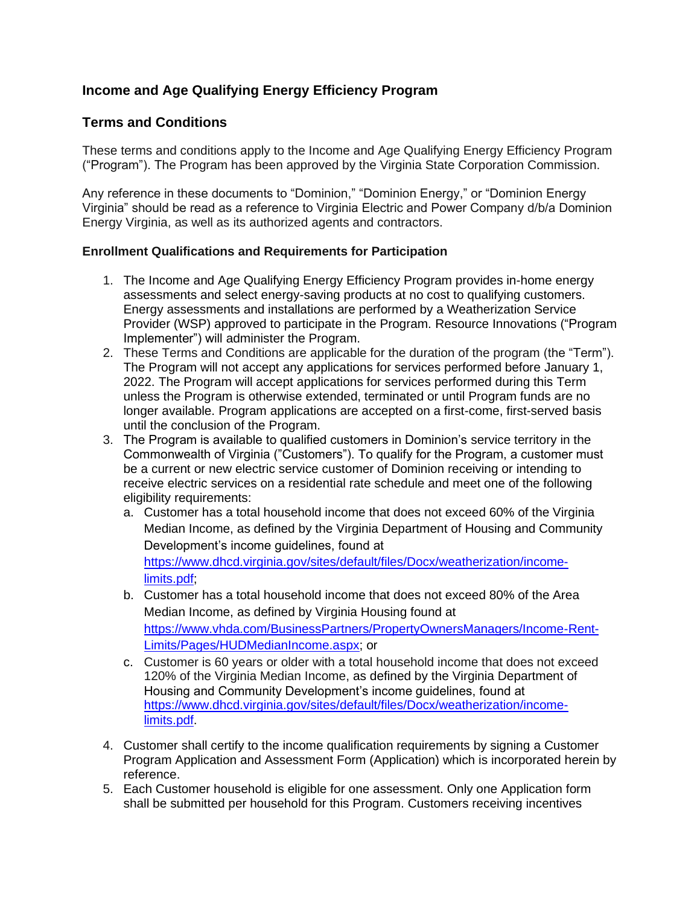# **Income and Age Qualifying Energy Efficiency Program**

## **Terms and Conditions**

 These terms and conditions apply to the Income and Age Qualifying Energy Efficiency Program ("Program"). The Program has been approved by the Virginia State Corporation Commission.

 Any reference in these documents to "Dominion," "Dominion Energy," or "Dominion Energy Virginia" should be read as a reference to Virginia Electric and Power Company d/b/a Dominion Energy Virginia, as well as its authorized agents and contractors.

### **Enrollment Qualifications and Requirements for Participation**

- 1. The Income and Age Qualifying Energy Efficiency Program provides in-home energy assessments and select energy-saving products at no cost to qualifying customers. Energy assessments and installations are performed by a Weatherization Service Provider (WSP) approved to participate in the Program. Resource Innovations ("Program Implementer") will administer the Program.
- 2. These Terms and Conditions are applicable for the duration of the program (the "Term"). The Program will not accept any applications for services performed before January 1, 2022. The Program will accept applications for services performed during this Term unless the Program is otherwise extended, terminated or until Program funds are no longer available. Program applications are accepted on a first-come, first-served basis until the conclusion of the Program.
- 3. The Program is available to qualified customers in Dominion's service territory in the Commonwealth of Virginia ("Customers"). To qualify for the Program, a customer must be a current or new electric service customer of Dominion receiving or intending to receive electric services on a residential rate schedule and meet one of the following eligibility requirements:
	- a. Customer has a total household income that does not exceed 60% of the Virginia Median Income, as defined by the Virginia Department of Housing and Community Development's income guidelines, found at [https://www.dhcd.virginia.gov/sites/default/files/Docx/weatherization/income](https://www.dhcd.virginia.gov/sites/default/files/Docx/weatherization/income-limits.pdf)[limits.pdf;](https://www.dhcd.virginia.gov/sites/default/files/Docx/weatherization/income-limits.pdf)
	- b. Customer has a total household income that does not exceed 80% of the Area Median Income, as defined by Virginia Housing found at [https://www.vhda.com/BusinessPartners/PropertyOwnersManagers/Income-Rent-](https://www.vhda.com/BusinessPartners/PropertyOwnersManagers/Income-Rent-Limits/Pages/HUDMedianIncome.aspx)[Limits/Pages/HUDMedianIncome.aspx;](https://www.vhda.com/BusinessPartners/PropertyOwnersManagers/Income-Rent-Limits/Pages/HUDMedianIncome.aspx) or
	- c. Customer is 60 years or older with a total household income that does not exceed 120% of the Virginia Median Income, as defined by the Virginia Department of Housing and Community Development's income guidelines, found at [https://www.dhcd.virginia.gov/sites/default/files/Docx/weatherization/income](https://www.dhcd.virginia.gov/sites/default/files/Docx/weatherization/income-limits.pdf)[limits.pdf.](https://www.dhcd.virginia.gov/sites/default/files/Docx/weatherization/income-limits.pdf)
- 4. Customer shall certify to the income qualification requirements by signing a Customer Program Application and Assessment Form (Application) which is incorporated herein by reference.
- 5. Each Customer household is eligible for one assessment. Only one Application form shall be submitted per household for this Program. Customers receiving incentives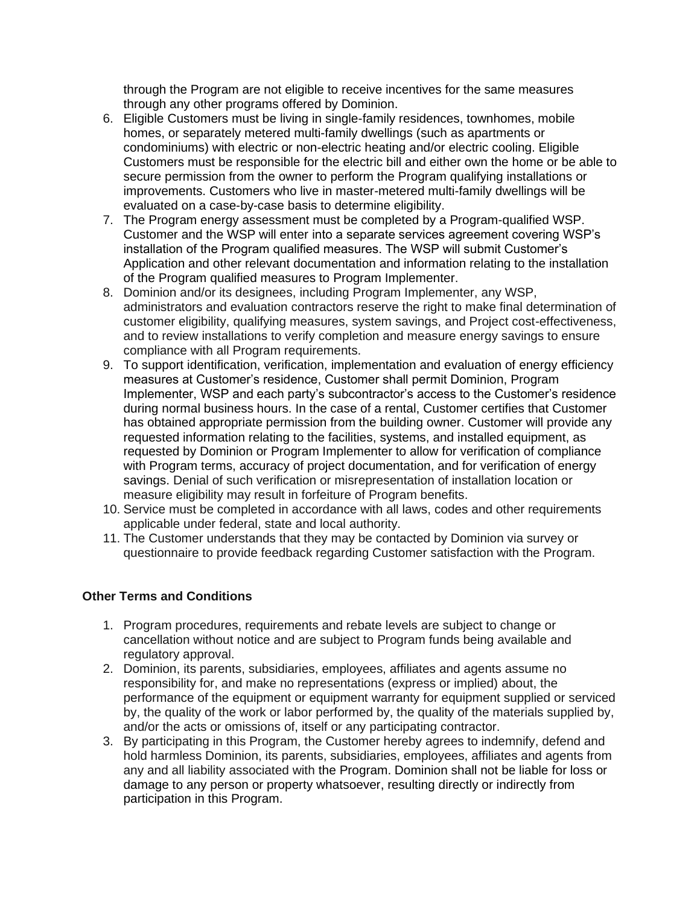through the Program are not eligible to receive incentives for the same measures through any other programs offered by Dominion.

- 6. Eligible Customers must be living in single-family residences, townhomes, mobile Customers must be responsible for the electric bill and either own the home or be able to secure permission from the owner to perform the Program qualifying installations or improvements. Customers who live in master-metered multi-family dwellings will be evaluated on a case-by-case basis to determine eligibility. homes, or separately metered multi-family dwellings (such as apartments or condominiums) with electric or non-electric heating and/or electric cooling. Eligible
- 7. The Program energy assessment must be completed by a Program-qualified WSP. Customer and the WSP will enter into a separate services agreement covering WSP's installation of the Program qualified measures. The WSP will submit Customer's Application and other relevant documentation and information relating to the installation of the Program qualified measures to Program Implementer.
- 8. Dominion and/or its designees, including Program Implementer, any WSP, administrators and evaluation contractors reserve the right to make final determination of customer eligibility, qualifying measures, system savings, and Project cost-effectiveness, and to review installations to verify completion and measure energy savings to ensure compliance with all Program requirements.
- 9. To support identification, verification, implementation and evaluation of energy efficiency measures at Customer's residence, Customer shall permit Dominion, Program Implementer, WSP and each party's subcontractor's access to the Customer's residence during normal business hours. In the case of a rental, Customer certifies that Customer has obtained appropriate permission from the building owner. Customer will provide any requested information relating to the facilities, systems, and installed equipment, as requested by Dominion or Program Implementer to allow for verification of compliance with Program terms, accuracy of project documentation, and for verification of energy savings. Denial of such verification or misrepresentation of installation location or measure eligibility may result in forfeiture of Program benefits.
- 10. Service must be completed in accordance with all laws, codes and other requirements applicable under federal, state and local authority.
- 11. The Customer understands that they may be contacted by Dominion via survey or questionnaire to provide feedback regarding Customer satisfaction with the Program.

#### **Other Terms and Conditions**

- 1. Program procedures, requirements and rebate levels are subject to change or cancellation without notice and are subject to Program funds being available and regulatory approval.
- 2. Dominion, its parents, subsidiaries, employees, affiliates and agents assume no responsibility for, and make no representations (express or implied) about, the performance of the equipment or equipment warranty for equipment supplied or serviced by, the quality of the work or labor performed by, the quality of the materials supplied by, and/or the acts or omissions of, itself or any participating contractor.
- 3. By participating in this Program, the Customer hereby agrees to indemnify, defend and hold harmless Dominion, its parents, subsidiaries, employees, affiliates and agents from any and all liability associated with the Program. Dominion shall not be liable for loss or damage to any person or property whatsoever, resulting directly or indirectly from participation in this Program.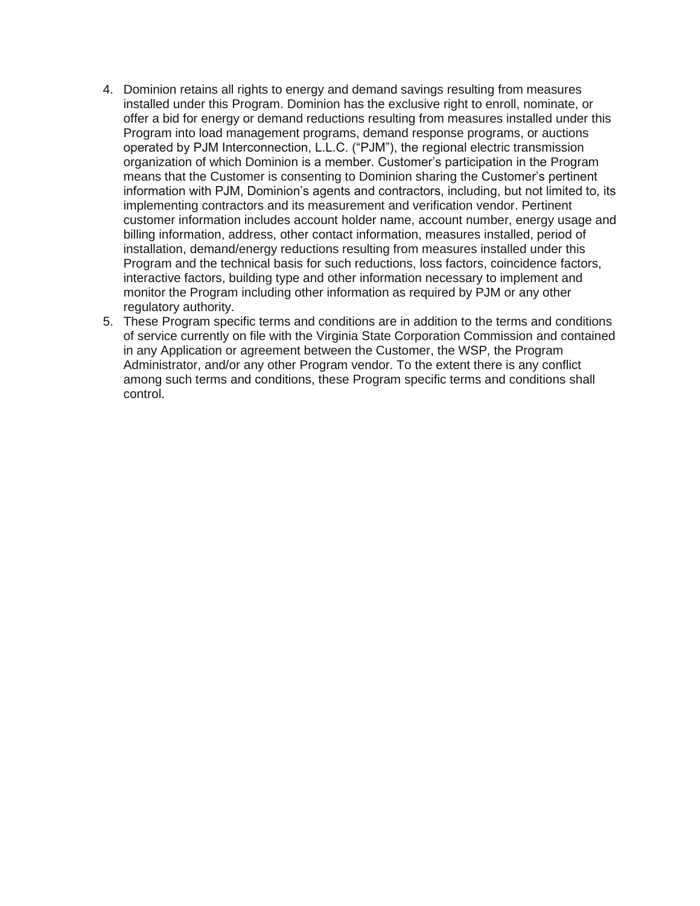- 4. Dominion retains all rights to energy and demand savings resulting from measures installed under this Program. Dominion has the exclusive right to enroll, nominate, or offer a bid for energy or demand reductions resulting from measures installed under this Program into load management programs, demand response programs, or auctions operated by PJM Interconnection, L.L.C. ("PJM"), the regional electric transmission means that the Customer is consenting to Dominion sharing the Customer's pertinent information with PJM, Dominion's agents and contractors, including, but not limited to, its implementing contractors and its measurement and verification vendor. Pertinent customer information includes account holder name, account number, energy usage and billing information, address, other contact information, measures installed, period of installation, demand/energy reductions resulting from measures installed under this Program and the technical basis for such reductions, loss factors, coincidence factors, interactive factors, building type and other information necessary to implement and monitor the Program including other information as required by PJM or any other organization of which Dominion is a member. Customer's participation in the Program regulatory authority.
- 5. These Program specific terms and conditions are in addition to the terms and conditions of service currently on file with the Virginia State Corporation Commission and contained in any Application or agreement between the Customer, the WSP, the Program Administrator, and/or any other Program vendor. To the extent there is any conflict among such terms and conditions, these Program specific terms and conditions shall control.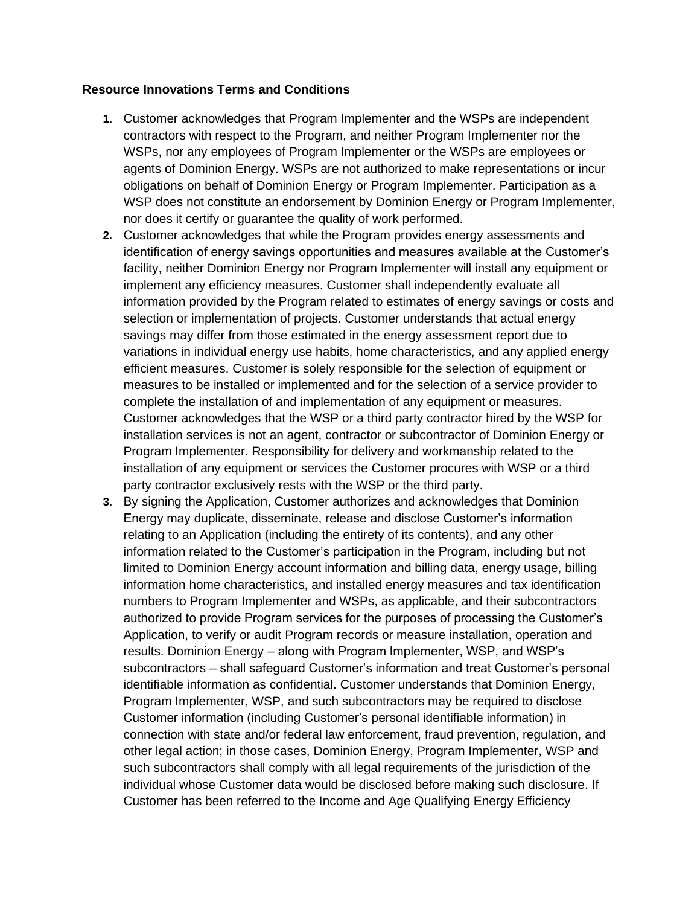#### **Resource Innovations Terms and Conditions**

- **1.** Customer acknowledges that Program Implementer and the WSPs are independent contractors with respect to the Program, and neither Program Implementer nor the WSPs, nor any employees of Program Implementer or the WSPs are employees or agents of Dominion Energy. WSPs are not authorized to make representations or incur obligations on behalf of Dominion Energy or Program Implementer. Participation as a WSP does not constitute an endorsement by Dominion Energy or Program Implementer, nor does it certify or guarantee the quality of work performed.
- **2.** Customer acknowledges that while the Program provides energy assessments and identification of energy savings opportunities and measures available at the Customer's facility, neither Dominion Energy nor Program Implementer will install any equipment or implement any efficiency measures. Customer shall independently evaluate all information provided by the Program related to estimates of energy savings or costs and selection or implementation of projects. Customer understands that actual energy savings may differ from those estimated in the energy assessment report due to variations in individual energy use habits, home characteristics, and any applied energy efficient measures. Customer is solely responsible for the selection of equipment or measures to be installed or implemented and for the selection of a service provider to complete the installation of and implementation of any equipment or measures. Customer acknowledges that the WSP or a third party contractor hired by the WSP for installation services is not an agent, contractor or subcontractor of Dominion Energy or Program Implementer. Responsibility for delivery and workmanship related to the installation of any equipment or services the Customer procures with WSP or a third party contractor exclusively rests with the WSP or the third party.
- **3.** By signing the Application, Customer authorizes and acknowledges that Dominion Energy may duplicate, disseminate, release and disclose Customer's information relating to an Application (including the entirety of its contents), and any other information related to the Customer's participation in the Program, including but not limited to Dominion Energy account information and billing data, energy usage, billing information home characteristics, and installed energy measures and tax identification numbers to Program Implementer and WSPs, as applicable, and their subcontractors authorized to provide Program services for the purposes of processing the Customer's Application, to verify or audit Program records or measure installation, operation and results. Dominion Energy – along with Program Implementer, WSP, and WSP's subcontractors – shall safeguard Customer's information and treat Customer's personal identifiable information as confidential. Customer understands that Dominion Energy, Program Implementer, WSP, and such subcontractors may be required to disclose Customer information (including Customer's personal identifiable information) in connection with state and/or federal law enforcement, fraud prevention, regulation, and other legal action; in those cases, Dominion Energy, Program Implementer, WSP and such subcontractors shall comply with all legal requirements of the jurisdiction of the Customer has been referred to the Income and Age Qualifying Energy Efficiency individual whose Customer data would be disclosed before making such disclosure. If